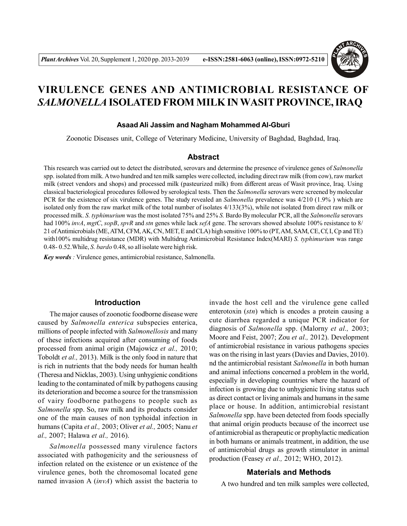

# **VIRULENCE GENES AND ANTIMICROBIAL RESISTANCE OF** *SALMONELLA* **ISOLATED FROM MILK IN WASIT PROVINCE, IRAQ**

## **Asaad Ali Jassim and Nagham Mohammed Al-Gburi**

Zoonotic Diseases unit, College of Veterinary Medicine, University of Baghdad, Baghdad, Iraq.

## **Abstract**

This research was carried out to detect the distributed, serovars and determine the presence of virulence genes of *Salmonella* spp. isolated from milk. A two hundred and ten milk samples were collected, including direct raw milk (from cow), raw market milk (street vendors and shops) and processed milk (pasteurized milk) from different areas of Wasit province, Iraq. Using classical bacteriological procedures followed by serological tests. Then the *Salmonella* serovars were screened by molecular PCR for the existence of six virulence genes. The study revealed an *Salmonella* prevalence was 4/210 (1.9% ) which are isolated only from the raw market milk of the total number of isolates 4/133(3%), while not isolated from direct raw milk or processed milk. *S. typhimurium* was the most isolated 75% and 25% *S.* Bardo By molecular PCR, all the *Salmonella* serovars had 100% *invA*, *mgtC*, *sopB*, *spvR* and *stn* genes while lack *sefA* gene. The serovars showed absolute 100% resistance to 8/ 21 of Antimicrobials (ME, ATM, CFM, AK, CN, MET, E and CLA) high sensitive 100% to (PT, AM, SAM, CE, Cf, I, Cp and TE) with100% multidrug resistance (MDR) with Multidrug Antimicrobial Resistance Index(MARI) *S. typhimurium* was range 0.48- 0.52.While, *S. bardo* 0.48, so all isolate were high risk.

*Key words :* Virulence genes, antimicrobial resistance, Salmonella.

# **Introduction**

The major causes of zoonotic foodborne disease were caused by *Salmonella enterica* subspecies enterica, millions of people infected with *Salmonellosis* and many of these infections acquired after consuming of foods processed from animal origin (Majowicz *et al.,* 2010; Toboldt *et al.,* 2013). Milk is the only food in nature that is rich in nutrients that the body needs for human health (Theresa and Nicklas, 2003). Using unhygienic conditions leading to the contaminated of milk by pathogens causing its deterioration and become a source for the transmission of vairy foodborne pathogens to people such as *Salmonella* spp. So, raw milk and its products consider one of the main causes of non typhoidal infection in humans (Capita *et al.,* 2003; Oliver *et al.,* 2005; Nanu *et al.,* 2007; Halawa *et al.,* 2016).

*Salmonella* possessed many virulence factors associated with pathogenicity and the seriousness of infection related on the existence or un existence of the virulence genes, both the chromosomal located gene named invasion A (*invA*) which assist the bacteria to

invade the host cell and the virulence gene called enterotoxin (*stn*) which is encodes a protein causing a cute diarrhea regarded a unique PCR indicator for diagnosis of *Salmonella* spp. (Malorny *et al.,* 2003; Moore and Feist, 2007; Zou *et al.,* 2012). Development of antimicrobial resistance in various pathogens species was on the rising in last years (Davies and Davies, 2010). nd the antimicrobial resistant *Salmonella* in both human and animal infections concerned a problem in the world, especially in developing countries where the hazard of infection is growing due to unhygienic living status such as direct contact or living animals and humans in the same place or house. In addition, antimicrobial resistant *Salmonella* spp. have been detected from foods specially that animal origin products because of the incorrect use of antimicrobial as therapeutic or prophylactic medication in both humans or animals treatment, in addition, the use of antimicrobial drugs as growth stimulator in animal production (Feasey *et al.,* 2012; WHO, 2012).

## **Materials and Methods**

A two hundred and ten milk samples were collected,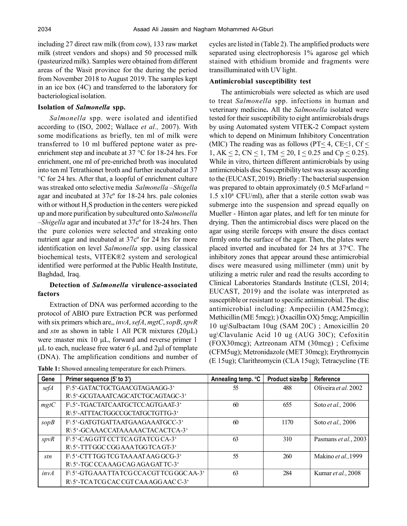including 27 direct raw milk (from cow), 133 raw market milk (street vendors and shops) and 50 processed milk (pasteurized milk). Samples were obtained from different areas of the Wasit province for the during the period from November 2018 to August 2019. The samples kept in an ice box (4C) and transferred to the laboratory for bacteriological isolation.

## **Isolation of** *Salmonella* **spp.**

*Salmonella* spp. were isolated and identified according to (ISO, 2002; Wallace *et al.,* 2007). With some modifications as briefly, ten ml of milk were transferred to 10 ml buffered peptone water as preenrichment step and incubate at 37 °C for 18-24 hrs. For enrichment, one ml of pre-enriched broth was inoculated into ten ml Tetrathionet broth and further incubated at 37 °C for 24 hrs. After that, a loopful of enrichment culture was streaked onto selective media *Salmonella* –*Shigella* agar and incubated at 37cº for 18-24 hrs. pale colonies with or without  $H_2S$  production in the centers were picked up and more purification by subcultured onto *Salmonella –Shigella* agar and incubated at 37cº for 18-24 hrs. Then the pure colonies were selected and streaking onto nutrient agar and incubated at 37cº for 24 hrs for more identification on level *Salmonella* spp. using classical biochemical tests, VITEK®2 system and serological identified were performed at the Public Health Institute, Baghdad, Iraq.

# **Detection of** *Salmonella* **virulence-associated factors**

Extraction of DNA was performed according to the protocol of ABIO pure Extraction PCR was performed with six primers which are,, *invA*, *sefA*, *mgtC*, *sopB*, *spvR* and  $stn$  as shown in table 1 All PCR mixtures  $(20\mu L)$ were : master mix  $10 \mu L$ , forward and reverse primer 1  $\mu$ L to each, nuclease free water 6  $\mu$ L and 2 $\mu$ l of template (DNA). The amplification conditions and number of

**Table 1:** Showed annealing temperature for each Primers.

cycles are listed in (Table 2). The amplified products were separated using electrophoresis 1% agarose gel which stained with ethidium bromide and fragments were transilluminated with UV light.

## **Antimicrobial susceptibility test**

The antimicrobials were selected as which are used to treat *Salmonella* spp. infections in human and veterinary medicine**.** All the *Salmonella* isolated were tested for their susceptibility to eight antimicrobials drugs by using Automated system VITEK-2 Compact system which to depend on Minimum Inhibitory Concentration (MIC) The reading was as follows (PT $\leq$  4, CE $\leq$ 1, Cf $\leq$ 1, AK  $\leq$  2, CN  $\leq$  1, TM  $\leq$  20, I  $\leq$  0.25 and Cp  $\leq$  0.25). While in vitro, thirteen different antimicrobials by using antimicrobials disc Susceptibility test was assay according to the (EUCAST, 2019). Briefly : The bacterial suspension was prepared to obtain approximately  $(0.5 \text{ McFarland} =$  $1.5 \times 10^8$  CFU/ml), after that a sterile cotton swab was submerge into the suspension and spread equally on Mueller - Hinton agar plates, and left for ten minute for drying. Then the antimicrobial discs were placed on the agar using sterile forceps with ensure the discs contact firmly onto the surface of the agar. Then, the plates were placed inverted and incubated for  $24$  hrs at  $37^{\circ}$ C. The inhibitory zones that appear around these antimicrobial discs were measured using millimeter (mm) unit by utilizing a metric ruler and read the results according to Clinical Laboratories Standards Institute (CLSI, 2014; EUCAST, 2019) and the isolate was interpreted as susceptible or resistant to specific antimicrobial. The disc antimicrobial including: Ampeciilin (AM25mcg); Methicillin (ME 5mcg); ) Oxacillin OX) 5mcg; Ampicillin 10 ug\Sulbactam 10ug (SAM 20C) ; Amoxicillin 20 ug\Clavulanic Acid 10 ug (AUG 30C); Cefoxitin (FOX30mcg); Aztreonam ATM (30mcg) ; Cefixime (CFM5ug); Metronidazole (MET 30mcg); Erythromycin (E 15ug); Clarithromycin (CLA 15ug); Tetracycline (TE

| Gene | Primer sequence (5' to 3')               | Annealing temp. °C | Product size/bp | Reference                  |
|------|------------------------------------------|--------------------|-----------------|----------------------------|
| sefA | F\5'-GATACTGCTGAACGTAGAAGG-3'            | -55                | 488             | Oliveira et al. 2002       |
|      | R\5'-GCGTAAATCAGCATCTGCAGTAGC-3'         |                    |                 |                            |
| mgtC | F\5'-TGACTATCAATGCTCCAGTGAAT-3'          | 60                 | 655             | Soto et al., 2006          |
|      | R\5'-ATTTACTGGCCGCTATGCTGTTG-3'          |                    |                 |                            |
| sopB | F\5'-GATGTGATTAATGAAGAAATGCC-3'          | 60                 | 1170            | Soto <i>et al.</i> , 2006  |
|      | R\5'-GCAAACCATAAAAACTACACTCA-3'          |                    |                 |                            |
| spvR | F\5'-CAG GTT CCTTCA GTATCG CA-3'         | 63                 | 310             | Pasmans et al., 2003       |
|      | R\5'-TTTGGCCGGAAATGGTCAGT-3'             |                    |                 |                            |
| stn  | F\5'-CTTTGGTCGTAAAATAAGGCG-3'            | 55                 | 260             | Makino et al., 1999        |
|      | R\5'-TGC CCAAAG CAG AGA GAT TC-3'        |                    |                 |                            |
| invA | F\5'-GTGAAA TTA TCG CCA CGT TCG GGCAA-3' | 63                 | 284             | Kumar <i>et al.</i> , 2008 |
|      | R\5'-TCATCGCACCGTCAAAGGAACC-3'           |                    |                 |                            |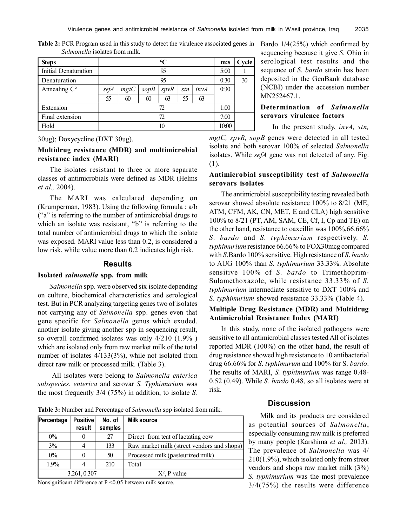**Table 2:** PCR Program used in this study to detect the virulence associated genes in Bardo 1/4(25%) which confirmed by *Salmonella* isolates from milk.

| <b>Steps</b>          | ℃    |      |      |      |      |      | m:s   | Cycle |
|-----------------------|------|------|------|------|------|------|-------|-------|
| Initial Denaturation  | 95   |      |      |      | 5:00 |      |       |       |
| Denaturation          | 95   |      |      |      |      |      | 0:30  | 30    |
| Annealing $C^{\circ}$ | sefA | mgtC | sopB | spvR | stn  | invA | 0:30  |       |
|                       | 55   | 60   | 60   | 63   | 55   | 63   |       |       |
| Extension             | 72   |      |      |      |      |      | 1:00  |       |
| Final extension       | 72   |      |      | 7:00 |      |      |       |       |
| Hold                  | 10   |      |      |      |      |      | 10:00 |       |

30ug); Doxycycline (DXT 30ug).

# **Multidrug resistance (MDR) and multimicrobial resistance index (MARI)**

The isolates resistant to three or more separate classes of antimicrobials were defined as MDR (Helms *et al.,* 2004).

The MARI was calculated depending on (Krumperman, 1983). Using the following formula : a/b ("a" is referring to the number of antimicrobial drugs to which an isolate was resistant, "b" is referring to the total number of antimicrobial drugs to which the isolate was exposed. MARI value less than 0.2, is considered a low risk, while value more than 0.2 indicates high risk.

#### **Results**

#### **Isolated** *salmonella* **spp. from milk**

*Salmonella* spp. were observed six isolate depending on culture, biochemical characteristics and serological test. But in PCR analyzing targeting genes two of isolates not carrying any of *Salmonella* spp. genes even that gene specific for *Salmonella* genus which exuded. another isolate giving another spp in sequencing result, so overall confirmed isolates was only 4/210 (1.9% ) which are isolated only from raw market milk of the total number of isolates 4/133(3%), while not isolated from direct raw milk or processed milk. (Table 3).

 All isolates were belong to *Salmonella enterica subspecies. enterica* and serovar *S. Typhimurium* was the most frequently 3/4 (75%) in addition, to isolate *S.* sequencing because it give *S*. Ohio in serological test results and the sequence of *S. bardo* strain has been deposited in the GenBank database (NCBI) under the accession number MN252467.1.

# **Determination of** *Salmonella* **serovars virulence factors**

In the present study, *invA, stn,*

*mgtC, spvR, sopB* genes were detected in all tested isolate and both serovar 100% of selected *Salmonella* isolates. While *sefA* gene was not detected of any. Fig. (1).

# **Antimicrobial susceptibility test of** *Salmonella* **serovars isolates**

The antimicrobial susceptibility testing revealed both serovar showed absolute resistance 100% to 8/21 (ME, ATM, CFM, AK, CN, MET, E and CLA) high sensitive 100% to 8/21 (PT, AM, SAM, CE, Cf, I, Cp and TE) on the other hand, resistance to oaxcillin was 100%,66.66% *S*. *bardo* and *S. typhimurium* respectively. *S. typhimurium* resistance 66.66% to FOX30mcg compared with *S*.Bardo 100% sensitive. High resistance of *S*. *bardo* to AUG 100% than *S*. *typhimurium* 33.33%. Absolute sensitive 100% of *S. bardo* to Trimethoprim-Sulamethoxazole, while resistance 33.33% of *S. typhimurium* intermediate sensitive to DXT 100% and *S. typhimurium* showed resistance 33.33% (Table 4).

## **Multiple Drug Resistance (MDR) and Multidrug Antimicrobial Resistance Index (MARI)**

In this study, none of the isolated pathogens were sensitive to all antimicrobial classes tested All of isolates reported MDR (100%) on the other hand, the result of drug resistance showed high resistance to 10 antibacterial drug 66.66% for *S*. *typhimurum* and 100% for S. *bardo*. The results of MARI, *S. typhimurium* was range 0.48- 0.52 (0.49). While *S. bardo* 0.48, so all isolates were at risk.

**Table 3:** Number and Percentage of *Salmonella* spp isolated from milk.

| Percentage   | <b>Positive</b><br>result | No. of<br>samples | <b>Milk source</b>                         |
|--------------|---------------------------|-------------------|--------------------------------------------|
| $0\%$        |                           | 27                | Direct from teat of lactating cow          |
| 3%           |                           | 133               | Raw market milk (street vendors and shops) |
| $0\%$        |                           | 50                | Processed milk (pasteurized milk)          |
| $1.9\%$      | 4                         | 210               | Total                                      |
| 3.261, 0.307 |                           |                   | $X^2$ , P value                            |

Nonsignificant difference at P <0.05 between milk source.

#### **Discussion**

Milk and its products are considered as potential sources of *Salmonella*, especially consuming raw milk is preferred by many people (Karshima *et al.,* 2013). The prevalence of *Salmonella* was 4/ 210(1.9%), which isolated only from street vendors and shops raw market milk (3%) *S. typhimurium* was the most prevalence 3/4(75%) the results were difference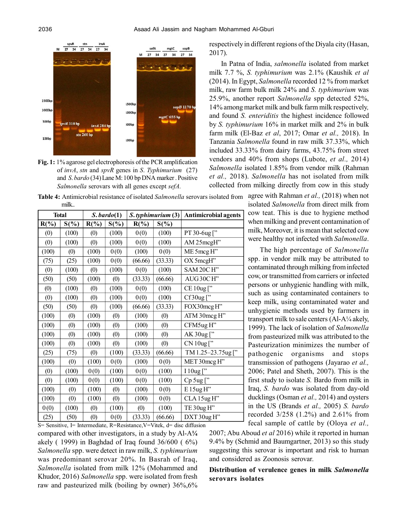

**Fig. 1:** 1% agarose gel electrophoresis of the PCR amplification of *invA*, *stn* and *spvR* genes in *S*. *Typhimurium* (27) and *S*. *bardo* (34) Lane M: 100 bp DNA marker . Positive *Salmonella* serovars with all genes except *sefA.*

respectively in different regions of the Diyala city (Hasan, 2017).

In Patna of India, *salmonella* isolated from market milk 7.7 %, *S. typhimurium* was 2.1% (Kaushik *et al* (2014). In Egypt, *Salmonella* recorded 12 % from market milk, raw farm bulk milk 24% and *S. typhimurium* was 25.9%, another report *Salmonella* spp detected 52%, 14% among market milk and bulk farm milk respectively*,* and found *S. enteriditis* the highest incidence followed by *S. typhimurium* 16% in market milk and 2% in bulk farm milk (El-Baz *et al*, 2017; Omar *et al.,* 2018). In Tanzania *Salmonella* found in raw milk 37.33%, which included 33.33% from dairy farms, 43.75% from street vendors and 40% from shops (Lubote, *et al.,* 2014) *Salmonella* isolated 1.85% from vendor milk (Rahman *et al.,* 2018). *Salmonella* has not isolated from milk collected from milking directly from cow in this study

**Table 4:** Antimicrobial resistance of isolated *Salmonella* serovars isolated from agree with Rahman *et al.,* (2018) when not milk..

| <b>Total</b> |                   | $S. \, \text{bard}(1)$ |         |         | S. typhimurium (3) | <b>Antimicrobial agents</b> |
|--------------|-------------------|------------------------|---------|---------|--------------------|-----------------------------|
| $R(\%)$      | $S(\%)$           | $R(\%)$                | $S(\%)$ | $R(\%)$ | $S(\%)$            |                             |
| (0)          | (100)             | (0)                    | (100)   | 0(0)    | (100)              | PT 30-6ug ["                |
| (0)          | (100)             | (0)                    | (100)   | 0(0)    | (100)              | AM 25mcgH"                  |
| (100)        | (0)               | (100)                  | 0(0)    | (100)   | 0(0)               | ME 5mcg H"                  |
| (75)         | (25)              | (100)                  | 0(0)    | (66.66) | (33.33)            | OX 5mcgH"                   |
| (0)          | (100)             | (0)                    | (100)   | 0(0)    | (100)              | SAM 20CH"                   |
| (50)         | (50)              | (100)                  | (0)     | (33.33) | (66.66)            | AUG30CH"                    |
| (0)          | (100)             | (0)                    | (100)   | 0(0)    | (100)              | CE 10ug ["                  |
| (0)          | (100)             | (0)                    | (100)   | 0(0)    | (100)              | Cf30ug["                    |
| (50)         | (50)              | (0)                    | (100)   | (66.66) | (33.33)            | FOX30mcg H"                 |
| (100)        | (0)               | (100)                  | (0)     | (100)   | (0)                | ATM 30mcg H"                |
| (100)        | (0)               | (100)                  | (0)     | (100)   | (0)                | CFM5ug H"                   |
| (100)        | $\left( 0\right)$ | (100)                  | (0)     | (100)   | (0)                | AK 30ug ["                  |
| (100)        | (0)               | (100)                  | (0)     | (100)   | (0)                | CN 10ug ["                  |
| (25)         | (75)              | (0)                    | (100)   | (33.33) | (66.66)            | TM 1.25-23.75ug ["          |
| (100)        | (0)               | (100)                  | 0(0)    | (100)   | 0(0)               | MET 30mcg H"                |
| (0)          | (100)             | 0(0)                   | (100)   | 0(0)    | (100)              | I 10ug ["                   |
| (0)          | (100)             | 0(0)                   | (100)   | 0(0)    | (100)              | Cp 5ug ["                   |
| (100)        | (0)               | (100)                  | (0)     | (100)   | 0(0)               | E 15ug H"                   |
| (100)        | (0)               | (100)                  | (0)     | (100)   | 0(0)               | CLA 15ug H"                 |
| 0(0)         | (100)             | (0)                    | (100)   | (0)     | (100)              | TE 30ug H"                  |
| (25)         | (50)              | (0)                    | 0(0)    | (33.33) | (66.66)            | DXT 30ug H"                 |

isolated *Salmonella* from direct milk from cow teat. This is due to hygiene method when milking and prevent contamination of milk, Moreover, it is mean that selected cow were healthy not infected with *Salmonella*.

The high percentage of *Salmonella* spp. in vendor milk may be attributed to contaminated through milking from infected cow, or transmitted from carriers or infected persons or unhygienic handling with milk, such as using contaminated containers to keep milk, using contaminated water and unhygienic methods used by farmers in transport milk to sale centers (Al-A¼ akely, 1999). The lack of isolation of *Salmonella* from pasteurized milk was attributed to the Pasteurization minimizes the number of pathogenic organisms and stops transmission of pathogens (Jayarao *et al.,* 2006; Patel and Sheth, 2007). This is the first study to isolate *S.* Bardo from milk in Iraq, *S. bardo* was isolated from day-old ducklings (Osman *et al.,* 2014) and oysters in the US (Brands *et al.,* 2005) *S. bardo* recorded 3/258 (1.2%) and 2.61% from fecal sample of cattle by (Oloya *et al.,*

S= Sensitive, I= Intermediate, R=Resistance,V=Vitek, d= disc diffusion compared with other investigators, in a study by Al-A**¼** akely ( 1999) in Baghdad of Iraq found 36/600 ( 6%) *Salmonella* spp. were detect in raw milk, *S. typhimurium* was predominant serovar 20%. In Basrah of Iraq, *Salmonella* isolated from milk 12% (Mohammed and Khudor, 2016) *Salmonella* spp. were isolated from fresh raw and pasteurized milk (boiling by owner) 36%,6%

2007; Abu Aboud *et al* 2016) while it reported in human 9.4% by (Schmid and Baumgartner, 2013) so this study suggesting this serovar is important and risk to human and considered as Zoonosis serovar.

# **Distribution of verulence genes in milk** *Salmonella* **serovars isolates**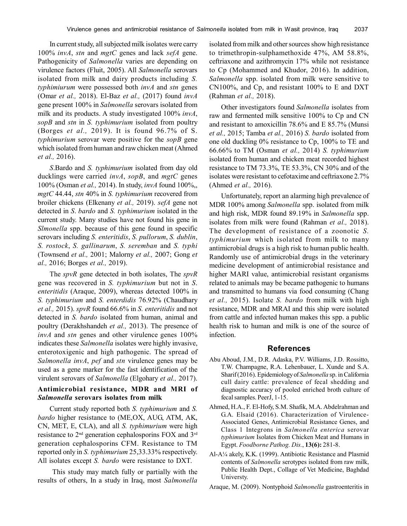In current study, all subjected milk isolates were carry 100% *invA*, *stn* and *mgtC* genes and lack *sefA* gene. Pathogenicity of *Salmonella* varies are depending on virulence factors (Fluit, 2005). All *Salmonella* serovars isolated from milk and dairy products including *S. typhimiurum* were possessed both *invA* and *stn* genes (Omar *et al.,* 2018). El-Baz *et al.,* (2017) found *invA* gene present 100% in *Salmonella* serovars isolated from milk and its products. A study investigated 100% *invA*, *sopB* and *stn* in *S. typhimurium* isolated from poultry (Borges *et al.,* 2019). It is found 96.7% of S. *typhimurium* serovar were positive for the *sopB* gene which isolated from human and raw chicken meat (Ahmed *et al.,* 2016).

*S*.Bardo and *S. typhimurium* isolated from day old ducklings were carried *invA*, *sopB*, and *mgtC* genes 100% (Osman *et al.,* 2014). In study, *invA* found 100%,, *mgtC* 44.44, *stn* 40% in *S. typhimurium* recovered from broiler chickens (Elkenany *et al.,* 2019). *sefA* gene not detected in *S*. *bardo* and *S. typhimurium* isolated in the current study. Many studies have not found his gene in *Slmonella* spp. because of this gene found in specific serovars including *S. enteritidis*, *S. pullorum*, *S. dublin*, *S. rostock*, *S. gallinarum*, *S. seremban* and *S. typhi* (Townsend *et al.,* 2001; Malorny *et al.,* 2007; Gong *et al.,* 2016; Borges *et al.,* 2019).

The *spvR* gene detected in both isolates, The *spvR* gene was recovered in *S. typhimurium* but not in *S*. *enteritidis* (Araque, 2009), whereas detected 100% in *S. typhimurium* and *S. enterdidis* 76.92% (Chaudhary *et al.,* 2015). *spvR* found 66.6% in *S. enteritidis* and not detected in *S. bardo* isolated from human, animal and poultry (Derakhshandeh *et al.,* 2013). The presence of *invA* and *stn* genes and other virulence genes 100% indicates these *Salmonella* isolates were highly invasive, enterotoxigenic and high pathogenic. The spread of *Salmonella invA*, *pef* and *stn* virulence genes may be used as a gene marker for the fast identification of the virulent serovars of *Salmonella* (Elgohary *et al.,* 2017).

# **Antimicrobial resistance, MDR and MRI of** *Salmonella* **serovars isolates from milk**

Current study reported both *S. typhimurium* and *S. bardo* higher resistance to (ME,OX, AUG, ATM, AK, CN, MET, E, CLA), and all *S. typhimurium* were high resistance to  $2<sup>nd</sup>$  generation cephalosporins FOX and  $3<sup>rd</sup>$ generation cephalosporins CFM. Resistance to TM reported only in *S. typhimurium* 25,33.33% respectively. All isolates except *S. bardo* were resistance to DXT.

 This study may match fully or partially with the results of others, In a study in Iraq, most *Salmonella* isolated from milk and other sources show high resistance to trimethropin-sulphamethoxide 47%, AM 58.8%, ceftriaxone and azithromycin 17% while not resistance to Cp (Mohammed and Khudor, 2016). In addition, *Salmonella* spp. isolated from milk were sensitive to CN100%, and Cp, and resistant 100% to E and DXT (Rahman *et al.,* 2018).

Other investigators found *Salmonella* isolates from raw and fermented milk sensitive 100% to Cp and CN and resistant to amoxicillin 78.6% and E 85.7% (Munsi *et al.,* 2015; Tamba *et al.,* 2016) *S. bardo* isolated from one old duckling 0% resistance to Cp, 100% to TE and 66.66% to TM (Osman *et al.,* 2014) *S. typhimurium* isolated from human and chicken meat recorded highest resistance to TM 73.3%, TE 53.3%, CN 30% and of the isolates were resistant to cefotaxime and ceftriaxone 2.7% (Ahmed *et al.,* 2016).

Unfortunately, report an alarming high prevalence of MDR 100% among *Salmonella* spp. isolated from milk and high risk, MDR found 89.19% in *Salmonella* spp. isolates from milk were found (Rahman *et al.,* 2018). The development of resistance of a zoonotic *S. typhimurium* which isolated from milk to many antimicrobial drugs is a high risk to human public health. Randomly use of antimicrobial drugs in the veterinary medicine development of antimicrobial resistance and higher MARI value, antimicrobial resistant organisms related to animals may be became pathogenic to humans and transmitted to humans via food consuming (Chang *et al.,* 2015). Isolate *S. bardo* from milk with high resistance, MDR and MRAI and this ship were isolated from cattle and infected human makes this spp. a public health risk to human and milk is one of the source of infection.

## **References**

- Abu Aboud, J.M., D.R. Adaska, P.V. Williams, J.D. Rossitto, T.W. Champagne, R.A. Lehenbauer, L. Xunde and S.A. Sharif (2016). Epidemiology of *Salmonella* sp. in California cull dairy cattle: prevalence of fecal shedding and diagnostic accuracy of pooled enriched broth culture of fecal samples. PeerJ, 1-15.
- Ahmed, H.A., F. El-Hofy, S.M. Shafik, M.A. Abdelrahman and G.A. Elsaid (2016). Characterization of Virulence-Associated Genes, Antimicrobial Resistance Genes, and Class 1 Integrons in *Salmonella enterica* serovar *typhimurium* Isolates from Chicken Meat and Humans in Egypt. *Foodborne Pathog. Dis.*, **13(6):** 281-8.
- Al-A¼ akely, K.K. (1999). Antibiotic Resistance and Plasmid contents of *Salmonella* serotypes isolated from raw milk, Public Health Dept., Collage of Vet Medicine, Baghdad Universty.

Araque, M. (2009). Nontyphoid *Salmonella* gastroenteritis in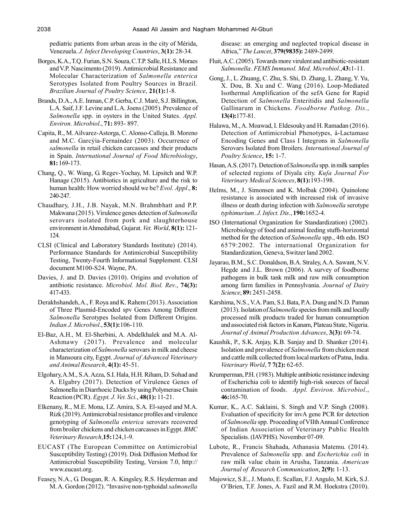pediatric patients from urban areas in the city of Mérida, Venezuela. *J. Infect Developing Countries*, **3(1):** 28-34.

- Borges, K.A., T.Q. Furian, S.N. Souza, C.T.P. Salle, H.L.S. Moraes and V.P. Nascimento (2019). Antimicrobial Resistance and Molecular Characterization of *Salmonella enterica* Serotypes Isolated from Poultry Sources in Brazil. *Brazilian Journal of Poultry Science*, **21(1):**1-8.
- Brands, D.A., A.E. Inman, C.P. Gerba, C.J. Maré, S.J. Billington, L.A. Saif, J.F. Levine and L.A. Joens (2005). Prevalence of *Salmonella* spp. in oysters in the United States. *Appl. Environ. Microbiol*., **71:** 893- 897.
- Capita, R., M. Aìlvarez-Astorga, C. Alonso-Calleja, B. Moreno and M.C. Garcýìa-Fernaìndez (2003). Occurrence of *salmonella* in retail chicken carcasses and their products in Spain. *International Journal of Food Microbiology*, **81:** 169-173.
- Chang, Q., W. Wang, G. Regev-Yochay, M. Lipsitch and W.P. Hanage (2015). Antibiotics in agriculture and the risk to human health: How worried should we be? *Evol. Appl*., **8:** 240-247.
- Chaudhary, J.H., J.B. Nayak, M.N. Brahmbhatt and P.P. Makwana (2015). Virulence genes detection of *Salmonella* serovars isolated from pork and slaughterhouse environment in Ahmedabad, Gujarat. *Vet. World*, **8(1):** 121- 124.
- CLSI (Clinical and Laboratory Standards Institute) (2014). Performance Standards for Antimicrobial Susceptibility Testing, Twenty-Fourth Informational Supplement. CLSI document M100-S24. Wayne, PA.
- Davies, J. and D. Davies (2010). Origins and evolution of antibiotic resistance. *Microbiol. Mol. Biol. Rev*., **74(3):** 417-433.
- Derakhshandeh, A., F. Roya and K. Rahem (2013). Association of Three Plasmid-Encoded spv Genes Among Different *Salmonella* Serotypes Isolated from Different Origins. *Indian J. Microbiol*., **53(1):**106-110.
- El-Baz, A.H., M. El-Sherbini, A. Abdelkhalek and M.A. Al-Ashmawy (2017). Prevalence and molecular characterization of *Salmonella* serovars in milk and cheese in Mansoura city, Egypt. *Journal of Advanced Veterinary and Animal Research*, **4(1):** 45-51.
- Elgohary, A.M., S.A. Azza, S.I. Hala, H.H. Riham, D. Sohad and A. Elgabry (2017). Detection of Virulence Genes of Salmonella in Diarrhoeic Ducks by using Polymerase Chain Reaction (PCR). *Egypt. J. Vet. Sci*., **48(1):** 11-21.
- Elkenany, R., M.E. Mona, I.Z. Amira, S.A. El-sayed and M.A. Rizk (2019). Antimicrobial resistance profiles and virulence genotyping of *Salmonella enterica* serovars recovered from broiler chickens and chicken carcasses in Egypt. *BMC Veterinary Research*,**15:**124,1-9.
- EUCAST (The European Committee on Antimicrobial Susceptibility Testing) (2019). Disk Diffusion Method for Antimicrobial Susceptibility Testing, Version 7.0, http:// www.eucast.org.
- Feasey, N.A., G. Dougan, R. A. Kingsley, R.S. Heyderman and M. A. Gordon (2012). "Invasive non-typhoidal *salmonella*

disease: an emerging and neglected tropical disease in Africa," *The Lancet*, **379(9835):** 2489-2499.

- Fluit, A.C. (2005). Towards more virulent and antibiotic-resistant *Salmonella*. *FEMS Immunol. Med. Microbiol*.,**43:**1-11.
- Gong, J., L. Zhuang, C. Zhu, S. Shi, D. Zhang, L. Zhang, Y. Yu, X. Dou, B. Xu and C. Wang (2016). Loop-Mediated Isothermal Amplification of the sefA Gene for Rapid Detection of *Salmonella* Enteritidis and *Salmonella* Gallinarum in Chickens. *Foodborne Pathog. Dis*., **13(4):**177-81.
- Halawa, M., A. Moawad, I. Eldesouky and H. Ramadan (2016). Detection of Antimicrobial Phenotypes, â-Lactamase Encoding Genes and Class I Integrons in *Salmonella* Serovars Isolated from Broilers. *International Journal of Poultry Science*, **15:** 1-7.
- Hasan, A.S. (2017). Detection of *Salmonella* spp. in milk samples of selected regions of Diyala city. *Kufa Journal For Veterinary Medical Sciences*, **8(1):**193-198.
- Helms, M., J. Simonsen and K. Molbak (2004). Quinolone resistance is associated with increased risk of invasive illness or death during infection with *Salmonella* serotype *typhimurium*. *J. Infect. Dis*., **190:**1652-4.
- ISO (International Organization for Standardization) (2002). Microbiology of food and animal feeding stuffs-horizontal method for the detection of *Salmonella* spp., 4th edn. ISO 6579:2002. The international Organization for Standardization, Geneva, Switzer land 2002.
- Jayarao, B.M., S.C. Donaldson, B.A. Straley, A.A. Sawant, N.V. Hegde and J.L. Brown (2006). A survey of foodborne pathogens in bulk tank milk and raw milk consumption among farm families in Pennsylvania. *Journal of Dairy Science*, **89:** 2451-2458.
- Karshima, N.S., V.A. Pam, S.I. Bata, P.A. Dung and N.D. Paman (2013). Isolation of *Salmonella* species from milk and locally processed milk products traded for human consumption and associated risk factors in Kanam, Plateau State, Nigeria. *Journal of Animal Production Advances*, **3(3):** 69-74.
- Kaushik, P., S.K. Anjay, K.B. Sanjay and D. Shanker (2014). Isolation and prevalence of *Salmonella* from chicken meat and cattle milk collected from local markets of Patna, India. *Veterinary World*, **7 7(2):** 62-65.
- Krumperman, P.H. (1983). Multiple antibiotic resistance indexing of Escherichia coli to identify high-risk sources of faecal contamination of foods. *Appl. Environ. Microbiol*., **46:**165-70.
- Kumar, K., A.C. Saklaini, S. Singh and V.P. Singh (2008). Evaluation of specificity for invA gene PCR for detection of *Salmonella* spp. Proceeding of VIIth Annual Conference of Indian Association of Veterinary Public Health Specialists. (IAVPHS). November 07-09.
- Lubote, R., Francis Shahada, Athanasia Matemu. (2014). Prevalence of *Salmonella* spp. and *Escherichia coli* in raw milk value chain in Arusha, Tanzania. *American Journal of Research Communication*, **2(9):** 1-13.
- Majowicz, S.E., J. Musto, E. Scallan, F.J. Angulo, M. Kirk, S.J. O'Brien, T.F. Jones, A. Fazil and R.M. Hoekstra (2010).